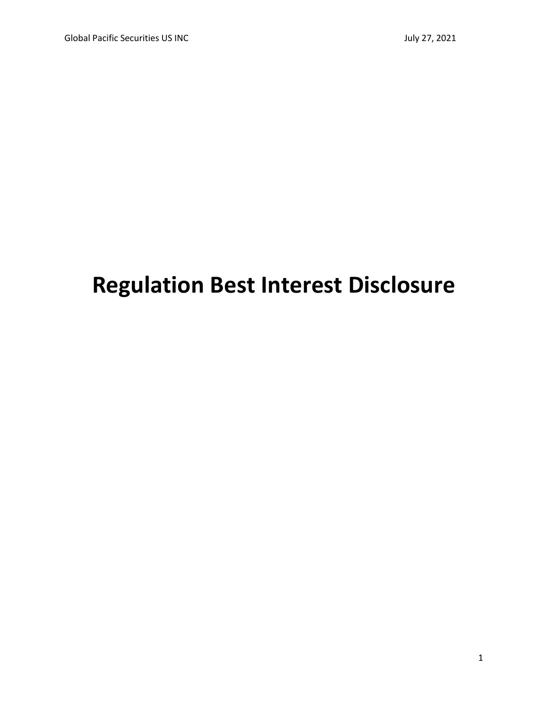# **Regulation Best Interest Disclosure**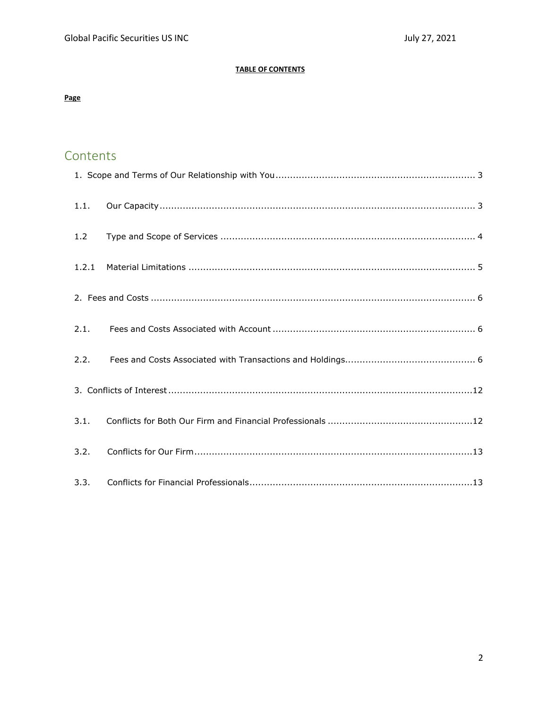# **TABLE OF CONTENTS**

# **Page**

# Contents

| 1.1.  |  |
|-------|--|
| 1.2   |  |
| 1.2.1 |  |
|       |  |
| 2.1.  |  |
| 2.2.  |  |
|       |  |
| 3.1.  |  |
| 3.2.  |  |
| 3.3.  |  |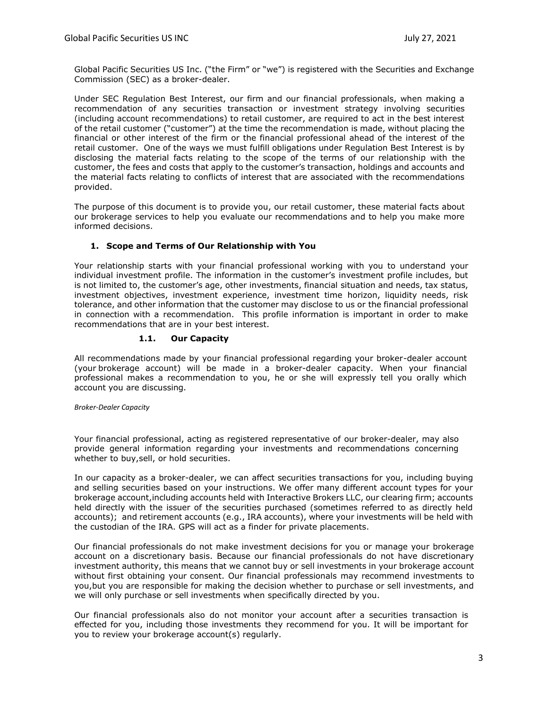Global Pacific Securities US Inc. ("the Firm" or "we") is registered with the Securities and Exchange Commission (SEC) as a broker-dealer.

Under SEC Regulation Best Interest, our firm and our financial professionals, when making a recommendation of any securities transaction or investment strategy involving securities (including account recommendations) to retail customer, are required to act in the best interest of the retail customer ("customer") at the time the recommendation is made, without placing the financial or other interest of the firm or the financial professional ahead of the interest of the retail customer. One of the ways we must fulfill obligations under Regulation Best Interest is by disclosing the material facts relating to the scope of the terms of our relationship with the customer, the fees and costs that apply to the customer's transaction, holdings and accounts and the material facts relating to conflicts of interest that are associated with the recommendations provided.

The purpose of this document is to provide you, our retail customer, these material facts about our brokerage services to help you evaluate our recommendations and to help you make more informed decisions.

# **1. Scope and Terms of Our Relationship with You**

<span id="page-2-0"></span>Your relationship starts with your financial professional working with you to understand your individual investment profile. The information in the customer's investment profile includes, but is not limited to, the customer's age, other investments, financial situation and needs, tax status, investment objectives, investment experience, investment time horizon, liquidity needs, risk tolerance, and other information that the customer may disclose to us or the financial professional in connection with a recommendation. This profile information is important in order to make recommendations that are in your best interest.

# **1.1. Our Capacity**

<span id="page-2-1"></span>All recommendations made by your financial professional regarding your broker-dealer account (your brokerage account) will be made in a broker-dealer capacity. When your financial professional makes a recommendation to you, he or she will expressly tell you orally which account you are discussing.

#### *Broker-Dealer Capacity*

Your financial professional, acting as registered representative of our broker-dealer, may also provide general information regarding your investments and recommendations concerning whether to buy,sell, or hold securities.

In our capacity as a broker-dealer, we can affect securities transactions for you, including buying and selling securities based on your instructions. We offer many different account types for your brokerage account,including accounts held with Interactive Brokers LLC, our clearing firm; accounts held directly with the issuer of the securities purchased (sometimes referred to as directly held accounts); and retirement accounts (e.g., IRA accounts), where your investments will be held with the custodian of the IRA. GPS will act as a finder for private placements.

Our financial professionals do not make investment decisions for you or manage your brokerage account on a discretionary basis. Because our financial professionals do not have discretionary investment authority, this means that we cannot buy or sell investments in your brokerage account without first obtaining your consent. Our financial professionals may recommend investments to you,but you are responsible for making the decision whether to purchase or sell investments, and we will only purchase or sell investments when specifically directed by you.

Our financial professionals also do not monitor your account after a securities transaction is effected for you, including those investments they recommend for you. It will be important for you to review your brokerage account(s) regularly.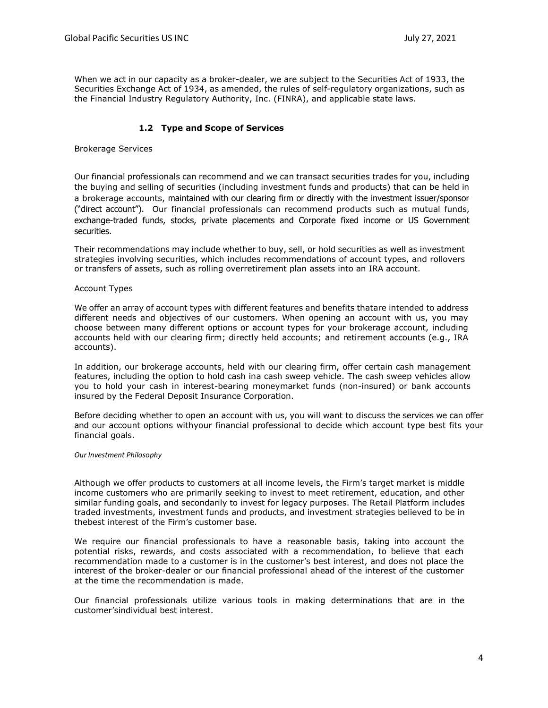When we act in our capacity as a broker-dealer, we are subject to the Securities Act of 1933, the Securities Exchange Act of 1934, as amended, the rules of self-regulatory organizations, such as the Financial Industry Regulatory Authority, Inc. (FINRA), and applicable state laws.

# **1.2 Type and Scope of Services**

Brokerage Services

Our financial professionals can recommend and we can transact securities trades for you, including the buying and selling of securities (including investment funds and products) that can be held in a brokerage accounts, maintained with our clearing firm or directly with the investment issuer/sponsor ("direct account"). Our financial professionals can recommend products such as mutual funds, exchange-traded funds, stocks, private placements and Corporate fixed income or US Government securities.

Their recommendations may include whether to buy, sell, or hold securities as well as investment strategies involving securities, which includes recommendations of account types, and rollovers or transfers of assets, such as rolling overretirement plan assets into an IRA account.

#### Account Types

We offer an array of account types with different features and benefits thatare intended to address different needs and objectives of our customers. When opening an account with us, you may choose between many different options or account types for your brokerage account, including accounts held with our clearing firm; directly held accounts; and retirement accounts (e.g., IRA accounts).

In addition, our brokerage accounts, held with our clearing firm, offer certain cash management features, including the option to hold cash ina cash sweep vehicle. The cash sweep vehicles allow you to hold your cash in interest-bearing moneymarket funds (non-insured) or bank accounts insured by the Federal Deposit Insurance Corporation.

Before deciding whether to open an account with us, you will want to discuss the services we can offer and our account options withyour financial professional to decide which account type best fits your financial goals.

#### *Our Investment Philosophy*

Although we offer products to customers at all income levels, the Firm's target market is middle income customers who are primarily seeking to invest to meet retirement, education, and other similar funding goals, and secondarily to invest for legacy purposes. The Retail Platform includes traded investments, investment funds and products, and investment strategies believed to be in thebest interest of the Firm's customer base.

We require our financial professionals to have a reasonable basis, taking into account the potential risks, rewards, and costs associated with a recommendation, to believe that each recommendation made to a customer is in the customer's best interest, and does not place the interest of the broker-dealer or our financial professional ahead of the interest of the customer at the time the recommendation is made.

Our financial professionals utilize various tools in making determinations that are in the customer'sindividual best interest.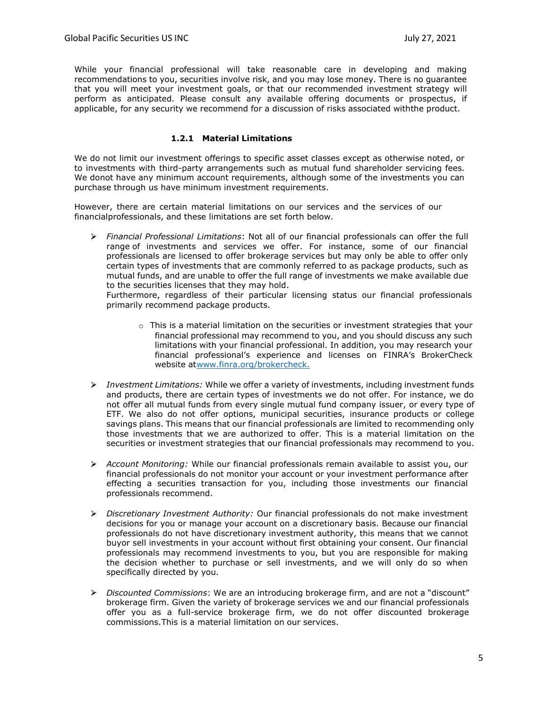While your financial professional will take reasonable care in developing and making recommendations to you, securities involve risk, and you may lose money. There is no guarantee that you will meet your investment goals, or that our recommended investment strategy will perform as anticipated. Please consult any available offering documents or prospectus, if applicable, for any security we recommend for a discussion of risks associated withthe product.

# **1.2.1 Material Limitations**

<span id="page-4-0"></span>We do not limit our investment offerings to specific asset classes except as otherwise noted, or to investments with third-party arrangements such as mutual fund shareholder servicing fees. We donot have any minimum account requirements, although some of the investments you can purchase through us have minimum investment requirements.

However, there are certain material limitations on our services and the services of our financialprofessionals, and these limitations are set forth below.

*Financial Professional Limitations*: Not all of our financial professionals can offer the full range of investments and services we offer. For instance, some of our financial professionals are licensed to offer brokerage services but may only be able to offer only certain types of investments that are commonly referred to as package products, such as mutual funds, and are unable to offer the full range of investments we make available due to the securities licenses that they may hold.

Furthermore, regardless of their particular licensing status our financial professionals primarily recommend package products.

- $\circ$  This is a material limitation on the securities or investment strategies that your financial professional may recommend to you, and you should discuss any such limitations with your financial professional. In addition, you may research your financial professional's experience and licenses on FINRA's BrokerCheck website a[twww.finra.org/brokercheck.](http://www.finra.org/brokercheck.)
- *Investment Limitations:* While we offer a variety of investments, including investment funds and products, there are certain types of investments we do not offer. For instance, we do not offer all mutual funds from every single mutual fund company issuer, or every type of ETF. We also do not offer options, municipal securities, insurance products or college savings plans. This means that our financial professionals are limited to recommending only those investments that we are authorized to offer. This is a material limitation on the securities or investment strategies that our financial professionals may recommend to you.
- *Account Monitoring:* While our financial professionals remain available to assist you, our financial professionals do not monitor your account or your investment performance after effecting a securities transaction for you, including those investments our financial professionals recommend.
- *Discretionary Investment Authority:* Our financial professionals do not make investment decisions for you or manage your account on a discretionary basis. Because our financial professionals do not have discretionary investment authority, this means that we cannot buyor sell investments in your account without first obtaining your consent. Our financial professionals may recommend investments to you, but you are responsible for making the decision whether to purchase or sell investments, and we will only do so when specifically directed by you.
- *Discounted Commissions*: We are an introducing brokerage firm, and are not a "discount" brokerage firm. Given the variety of brokerage services we and our financial professionals offer you as a full-service brokerage firm, we do not offer discounted brokerage commissions.This is a material limitation on our services.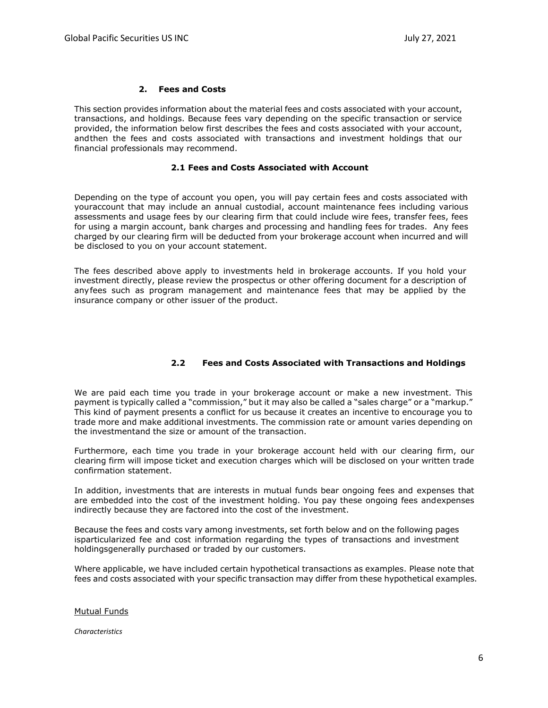#### **2. Fees and Costs**

<span id="page-5-0"></span>This section provides information about the material fees and costs associated with your account, transactions, and holdings. Because fees vary depending on the specific transaction or service provided, the information below first describes the fees and costs associated with your account, andthen the fees and costs associated with transactions and investment holdings that our financial professionals may recommend.

#### **2.1 Fees and Costs Associated with Account**

<span id="page-5-1"></span>Depending on the type of account you open, you will pay certain fees and costs associated with youraccount that may include an annual custodial, account maintenance fees including various assessments and usage fees by our clearing firm that could include wire fees, transfer fees, fees for using a margin account, bank charges and processing and handling fees for trades. Any fees charged by our clearing firm will be deducted from your brokerage account when incurred and will be disclosed to you on your account statement.

The fees described above apply to investments held in brokerage accounts. If you hold your investment directly, please review the prospectus or other offering document for a description of anyfees such as program management and maintenance fees that may be applied by the insurance company or other issuer of the product.

# **2.2 Fees and Costs Associated with Transactions and Holdings**

<span id="page-5-2"></span>We are paid each time you trade in your brokerage account or make a new investment. This payment is typically called a "commission," but it may also be called a "sales charge" or a "markup." This kind of payment presents a conflict for us because it creates an incentive to encourage you to trade more and make additional investments. The commission rate or amount varies depending on the investmentand the size or amount of the transaction.

Furthermore, each time you trade in your brokerage account held with our clearing firm, our clearing firm will impose ticket and execution charges which will be disclosed on your written trade confirmation statement.

In addition, investments that are interests in mutual funds bear ongoing fees and expenses that are embedded into the cost of the investment holding. You pay these ongoing fees andexpenses indirectly because they are factored into the cost of the investment.

Because the fees and costs vary among investments, set forth below and on the following pages isparticularized fee and cost information regarding the types of transactions and investment holdingsgenerally purchased or traded by our customers.

Where applicable, we have included certain hypothetical transactions as examples. Please note that fees and costs associated with your specific transaction may differ from these hypothetical examples.

#### Mutual Funds

*Characteristics*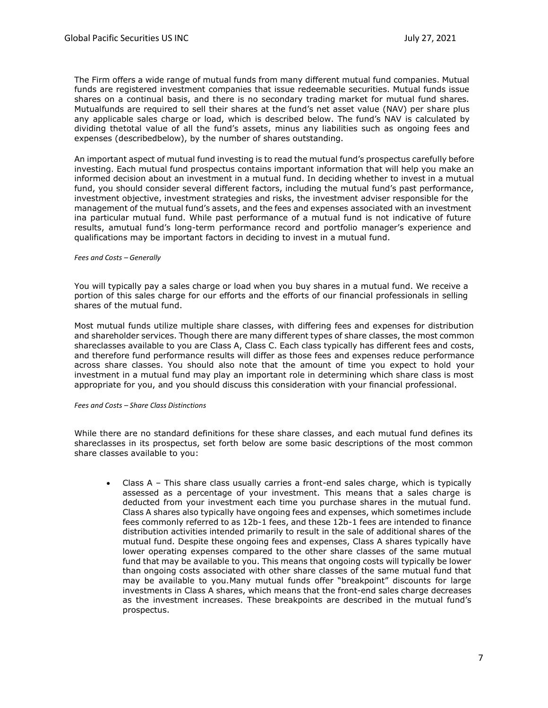The Firm offers a wide range of mutual funds from many different mutual fund companies. Mutual funds are registered investment companies that issue redeemable securities. Mutual funds issue shares on a continual basis, and there is no secondary trading market for mutual fund shares. Mutualfunds are required to sell their shares at the fund's net asset value (NAV) per share plus any applicable sales charge or load, which is described below. The fund's NAV is calculated by dividing thetotal value of all the fund's assets, minus any liabilities such as ongoing fees and expenses (describedbelow), by the number of shares outstanding.

An important aspect of mutual fund investing is to read the mutual fund's prospectus carefully before investing. Each mutual fund prospectus contains important information that will help you make an informed decision about an investment in a mutual fund. In deciding whether to invest in a mutual fund, you should consider several different factors, including the mutual fund's past performance, investment objective, investment strategies and risks, the investment adviser responsible for the management of the mutual fund's assets, and the fees and expenses associated with an investment ina particular mutual fund. While past performance of a mutual fund is not indicative of future results, amutual fund's long-term performance record and portfolio manager's experience and qualifications may be important factors in deciding to invest in a mutual fund.

#### *Fees and Costs – Generally*

You will typically pay a sales charge or load when you buy shares in a mutual fund. We receive a portion of this sales charge for our efforts and the efforts of our financial professionals in selling shares of the mutual fund.

Most mutual funds utilize multiple share classes, with differing fees and expenses for distribution and shareholder services. Though there are many different types of share classes, the most common shareclasses available to you are Class A, Class C. Each class typically has different fees and costs, and therefore fund performance results will differ as those fees and expenses reduce performance across share classes. You should also note that the amount of time you expect to hold your investment in a mutual fund may play an important role in determining which share class is most appropriate for you, and you should discuss this consideration with your financial professional.

#### *Fees and Costs – Share Class Distinctions*

While there are no standard definitions for these share classes, and each mutual fund defines its shareclasses in its prospectus, set forth below are some basic descriptions of the most common share classes available to you:

• Class A – This share class usually carries a front-end sales charge, which is typically assessed as a percentage of your investment. This means that a sales charge is deducted from your investment each time you purchase shares in the mutual fund. Class A shares also typically have ongoing fees and expenses, which sometimes include fees commonly referred to as 12b-1 fees, and these 12b-1 fees are intended to finance distribution activities intended primarily to result in the sale of additional shares of the mutual fund. Despite these ongoing fees and expenses, Class A shares typically have lower operating expenses compared to the other share classes of the same mutual fund that may be available to you. This means that ongoing costs will typically be lower than ongoing costs associated with other share classes of the same mutual fund that may be available to you.Many mutual funds offer "breakpoint" discounts for large investments in Class A shares, which means that the front-end sales charge decreases as the investment increases. These breakpoints are described in the mutual fund's prospectus.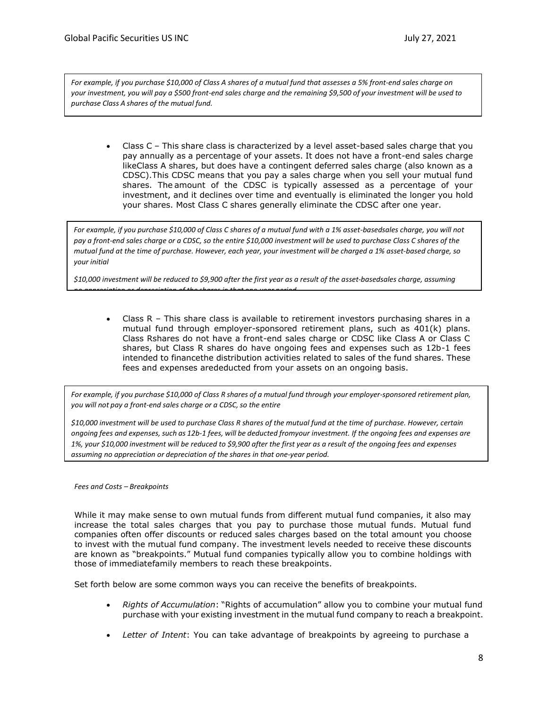*For example, if you purchase \$10,000 of Class A shares of a mutual fund that assesses a 5% front-end sales charge on your investment, you will pay a \$500 front-end sales charge and the remaining \$9,500 of your investment will be used to purchase Class A shares of the mutual fund.*

• Class C – This share class is characterized by a level asset-based sales charge that you pay annually as a percentage of your assets. It does not have a front-end sales charge likeClass A shares, but does have a contingent deferred sales charge (also known as a CDSC).This CDSC means that you pay a sales charge when you sell your mutual fund shares. The amount of the CDSC is typically assessed as a percentage of your investment, and it declines over time and eventually is eliminated the longer you hold your shares. Most Class C shares generally eliminate the CDSC after one year.

*For example, if you purchase \$10,000 of Class C shares of a mutual fund with a 1% asset-basedsales charge, you will not pay a front-end sales charge or a CDSC, so the entire \$10,000 investment will be used to purchase Class C shares of the mutual fund at the time of purchase. However, each year, your investment will be charged a 1% asset-based charge, so your initial*

*\$10,000 investment will be reduced to \$9,900 after the first year as a result of the asset-basedsales charge, assuming*

*no appreciation or depreciation of the shares in that one-year period.*

Class  $R -$  This share class is available to retirement investors purchasing shares in a mutual fund through employer-sponsored retirement plans, such as 401(k) plans. Class Rshares do not have a front-end sales charge or CDSC like Class A or Class C shares, but Class R shares do have ongoing fees and expenses such as 12b-1 fees intended to financethe distribution activities related to sales of the fund shares. These fees and expenses arededucted from your assets on an ongoing basis.

For example, if you purchase \$10,000 of Class R shares of a mutual fund through your employer-sponsored retirement plan, *you will not pay a front-end sales charge or a CDSC,so the entire*

*\$10,000 investment will be used to purchase Class R shares of the mutual fund at the time of purchase. However, certain ongoing fees and expenses, such as 12b-1 fees, will be deducted fromyour investment. If the ongoing fees and expenses are 1%, your \$10,000 investment will be reduced to \$9,900 after the first year as a result of the ongoing fees and expenses assuming no appreciation or depreciation of the shares in that one-year period.*

*Fees and Costs – Breakpoints*

While it may make sense to own mutual funds from different mutual fund companies, it also may increase the total sales charges that you pay to purchase those mutual funds. Mutual fund companies often offer discounts or reduced sales charges based on the total amount you choose to invest with the mutual fund company. The investment levels needed to receive these discounts are known as "breakpoints." Mutual fund companies typically allow you to combine holdings with those of immediatefamily members to reach these breakpoints.

Set forth below are some common ways you can receive the benefits of breakpoints.

- *Rights of Accumulation*: "Rights of accumulation" allow you to combine your mutual fund purchase with your existing investment in the mutual fund company to reach a breakpoint.
- *Letter of Intent*: You can take advantage of breakpoints by agreeing to purchase a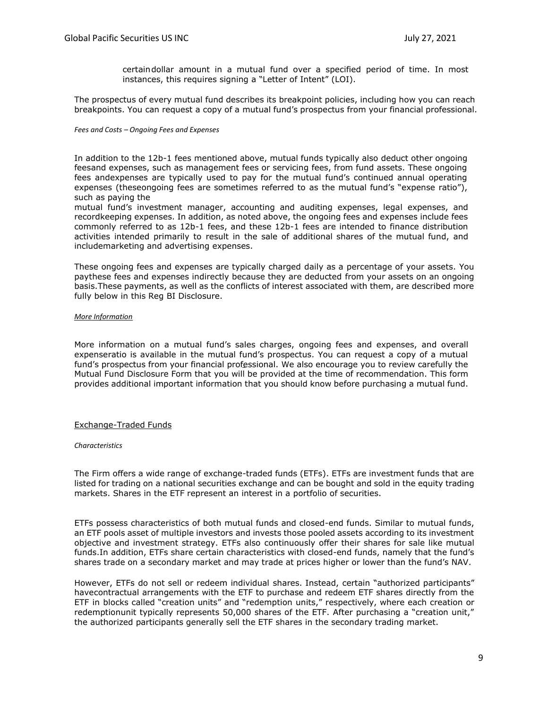certaindollar amount in a mutual fund over a specified period of time. In most instances, this requires signing a "Letter of Intent" (LOI).

The prospectus of every mutual fund describes its breakpoint policies, including how you can reach breakpoints. You can request a copy of a mutual fund's prospectus from your financial professional.

#### *Fees and Costs – Ongoing Fees and Expenses*

In addition to the 12b-1 fees mentioned above, mutual funds typically also deduct other ongoing feesand expenses, such as management fees or servicing fees, from fund assets. These ongoing fees andexpenses are typically used to pay for the mutual fund's continued annual operating expenses (theseongoing fees are sometimes referred to as the mutual fund's "expense ratio"), such as paying the

mutual fund's investment manager, accounting and auditing expenses, legal expenses, and recordkeeping expenses. In addition, as noted above, the ongoing fees and expenses include fees commonly referred to as 12b-1 fees, and these 12b-1 fees are intended to finance distribution activities intended primarily to result in the sale of additional shares of the mutual fund, and includemarketing and advertising expenses.

These ongoing fees and expenses are typically charged daily as a percentage of your assets. You paythese fees and expenses indirectly because they are deducted from your assets on an ongoing basis.These payments, as well as the conflicts of interest associated with them, are described more fully below in this Reg BI Disclosure.

#### *More Information*

More information on a mutual fund's sales charges, ongoing fees and expenses, and overall expenseratio is available in the mutual fund's prospectus. You can request a copy of a mutual fund's prospectus from your financial professional. We also encourage you to review carefully the Mutual Fund Disclosure Form that you will be provided at the time of recommendation. This form provides additional important information that you should know before purchasing a mutual fund.

#### Exchange-Traded Funds

#### *Characteristics*

The Firm offers a wide range of exchange-traded funds (ETFs). ETFs are investment funds that are listed for trading on a national securities exchange and can be bought and sold in the equity trading markets. Shares in the ETF represent an interest in a portfolio of securities.

ETFs possess characteristics of both mutual funds and closed-end funds. Similar to mutual funds, an ETF pools asset of multiple investors and invests those pooled assets according to its investment objective and investment strategy. ETFs also continuously offer their shares for sale like mutual funds.In addition, ETFs share certain characteristics with closed-end funds, namely that the fund's shares trade on a secondary market and may trade at prices higher or lower than the fund's NAV.

However, ETFs do not sell or redeem individual shares. Instead, certain "authorized participants" havecontractual arrangements with the ETF to purchase and redeem ETF shares directly from the ETF in blocks called "creation units" and "redemption units," respectively, where each creation or redemptionunit typically represents 50,000 shares of the ETF. After purchasing a "creation unit," the authorized participants generally sell the ETF shares in the secondary trading market.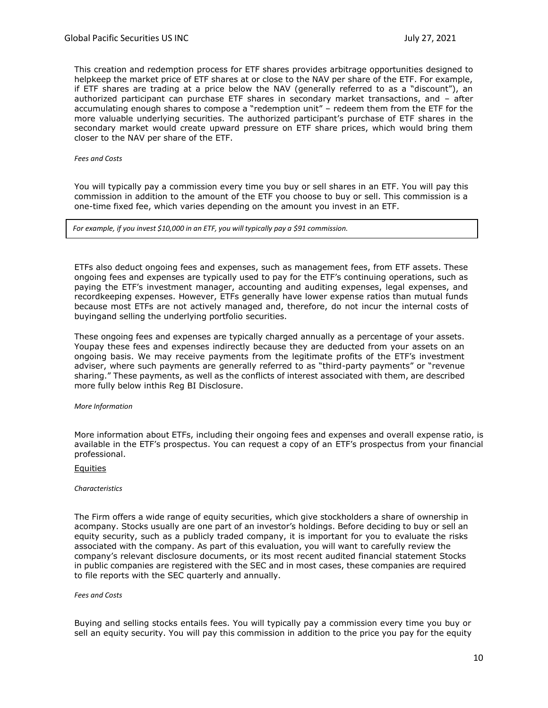This creation and redemption process for ETF shares provides arbitrage opportunities designed to helpkeep the market price of ETF shares at or close to the NAV per share of the ETF. For example, if ETF shares are trading at a price below the NAV (generally referred to as a "discount"), an authorized participant can purchase ETF shares in secondary market transactions, and – after accumulating enough shares to compose a "redemption unit" – redeem them from the ETF for the more valuable underlying securities. The authorized participant's purchase of ETF shares in the secondary market would create upward pressure on ETF share prices, which would bring them closer to the NAV per share of the ETF.

*Fees and Costs*

You will typically pay a commission every time you buy or sell shares in an ETF. You will pay this commission in addition to the amount of the ETF you choose to buy or sell. This commission is a one-time fixed fee, which varies depending on the amount you invest in an ETF.

*For example, if you invest \$10,000 in an ETF, you will typically pay a \$91 commission.*

ETFs also deduct ongoing fees and expenses, such as management fees, from ETF assets. These ongoing fees and expenses are typically used to pay for the ETF's continuing operations, such as paying the ETF's investment manager, accounting and auditing expenses, legal expenses, and recordkeeping expenses. However, ETFs generally have lower expense ratios than mutual funds because most ETFs are not actively managed and, therefore, do not incur the internal costs of buyingand selling the underlying portfolio securities.

These ongoing fees and expenses are typically charged annually as a percentage of your assets. Youpay these fees and expenses indirectly because they are deducted from your assets on an ongoing basis. We may receive payments from the legitimate profits of the ETF's investment adviser, where such payments are generally referred to as "third-party payments" or "revenue sharing." These payments, as well as the conflicts of interest associated with them, are described more fully below inthis Reg BI Disclosure.

#### *More Information*

More information about ETFs, including their ongoing fees and expenses and overall expense ratio, is available in the ETF's prospectus. You can request a copy of an ETF's prospectus from your financial professional.

#### Equities

#### *Characteristics*

The Firm offers a wide range of equity securities, which give stockholders a share of ownership in acompany. Stocks usually are one part of an investor's holdings. Before deciding to buy or sell an equity security, such as a publicly traded company, it is important for you to evaluate the risks associated with the company. As part of this evaluation, you will want to carefully review the company's relevant disclosure documents, or its most recent audited financial statement Stocks in public companies are registered with the SEC and in most cases, these companies are required to file reports with the SEC quarterly and annually.

#### *Fees and Costs*

Buying and selling stocks entails fees. You will typically pay a commission every time you buy or sell an equity security. You will pay this commission in addition to the price you pay for the equity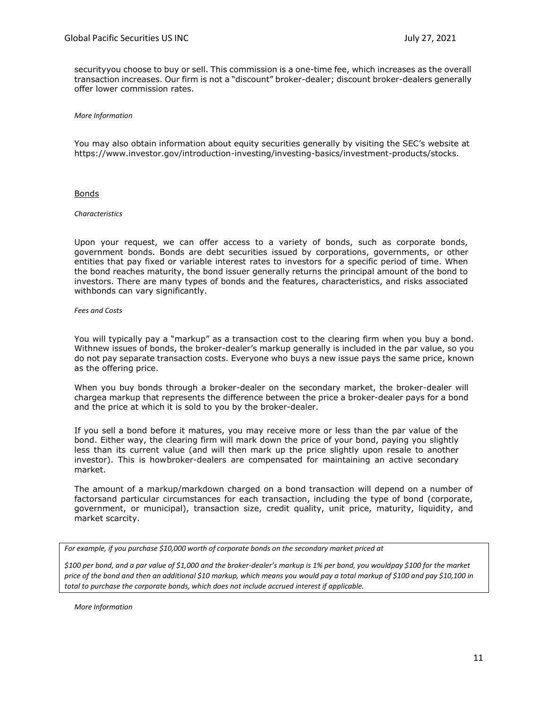securityyou choose to buy or sell. This commission is a one-time fee, which increases as the overall transaction increases. Our firm is not a "discount" broker-dealer; discount broker-dealers generally offer lower commission rates.

*More Information*

You may also obtain information about equity securities generally by visiting the SEC's website at https:/[/www.investor.gov/introduction-investing/investing-basics/investment-products/stocks.](http://www.investor.gov/introduction-investing/investing-basics/investment-products/stocks)

Bonds

#### *Characteristics*

Upon your request, we can offer access to a variety of bonds, such as corporate bonds, government bonds. Bonds are debt securities issued by corporations, governments, or other entities that pay fixed or variable interest rates to investors for a specific period of time. When the bond reaches maturity, the bond issuer generally returns the principal amount of the bond to investors. There are many types of bonds and the features, characteristics, and risks associated withbonds can vary significantly.

*Fees and Costs*

You will typically pay a "markup" as a transaction cost to the clearing firm when you buy a bond. Withnew issues of bonds, the broker-dealer's markup generally is included in the par value, so you do not pay separate transaction costs. Everyone who buys a new issue pays the same price, known as the offering price.

When you buy bonds through a broker-dealer on the secondary market, the broker-dealer will chargea markup that represents the difference between the price a broker-dealer pays for a bond and the price at which it is sold to you by the broker-dealer.

If you sell a bond before it matures, you may receive more or less than the par value of the bond. Either way, the clearing firm will mark down the price of your bond, paying you slightly less than its current value (and will then mark up the price slightly upon resale to another investor). This is howbroker-dealers are compensated for maintaining an active secondary market.

The amount of a markup/markdown charged on a bond transaction will depend on a number of factorsand particular circumstances for each transaction, including the type of bond (corporate, government, or municipal), transaction size, credit quality, unit price, maturity, liquidity, and market scarcity.

*For example, if you purchase \$10,000 worth of corporate bonds on the secondary market priced at*

*\$100 per bond, and a par value of \$1,000 and the broker-dealer's markup is 1% per bond, you wouldpay \$100 for the market price of the bond and then an additional \$10 markup, which means you would pay a total markup of \$100 and pay \$10,100 in total to purchase the corporate bonds, which does not include accrued interest if applicable.*

*More Information*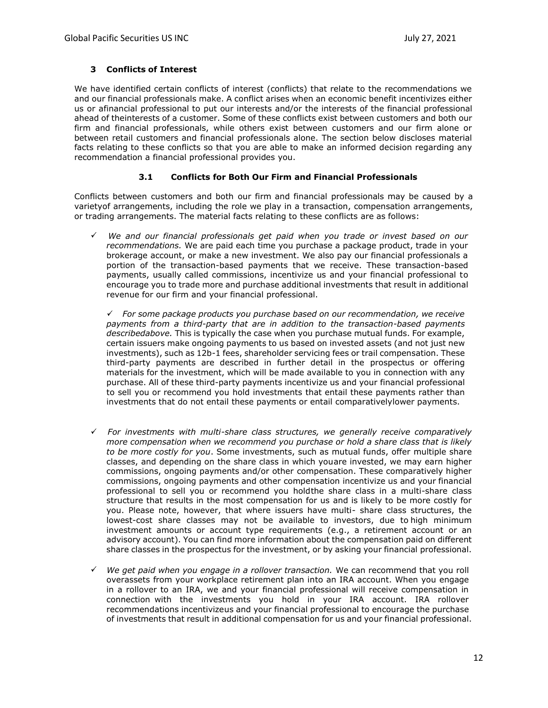# **3 Conflicts of Interest**

We have identified certain conflicts of interest (conflicts) that relate to the recommendations we and our financial professionals make. A conflict arises when an economic benefit incentivizes either us or afinancial professional to put our interests and/or the interests of the financial professional ahead of theinterests of a customer. Some of these conflicts exist between customers and both our firm and financial professionals, while others exist between customers and our firm alone or between retail customers and financial professionals alone. The section below discloses material facts relating to these conflicts so that you are able to make an informed decision regarding any recommendation a financial professional provides you.

# **3.1 Conflicts for Both Our Firm and Financial Professionals**

Conflicts between customers and both our firm and financial professionals may be caused by a varietyof arrangements, including the role we play in a transaction, compensation arrangements, or trading arrangements. The material facts relating to these conflicts are as follows:

*We and our financial professionals get paid when you trade or invest based on our recommendations.* We are paid each time you purchase a package product, trade in your brokerage account, or make a new investment. We also pay our financial professionals a portion of the transaction-based payments that we receive. These transaction-based payments, usually called commissions, incentivize us and your financial professional to encourage you to trade more and purchase additional investments that result in additional revenue for our firm and your financial professional.

*For some package products you purchase based on our recommendation, we receive payments from a third-party that are in addition to the transaction-based payments describedabove.* This is typically the case when you purchase mutual funds. For example, certain issuers make ongoing payments to us based on invested assets (and not just new investments), such as 12b-1 fees, shareholder servicing fees or trail compensation. These third-party payments are described in further detail in the prospectus or offering materials for the investment, which will be made available to you in connection with any purchase. All of these third-party payments incentivize us and your financial professional to sell you or recommend you hold investments that entail these payments rather than investments that do not entail these payments or entail comparativelylower payments.

- *For investments with multi-share class structures, we generally receive comparatively more compensation when we recommend you purchase or hold a share class that is likely to be more costly for you*. Some investments, such as mutual funds, offer multiple share classes, and depending on the share class in which youare invested, we may earn higher commissions, ongoing payments and/or other compensation. These comparatively higher commissions, ongoing payments and other compensation incentivize us and your financial professional to sell you or recommend you holdthe share class in a multi-share class structure that results in the most compensation for us and is likely to be more costly for you. Please note, however, that where issuers have multi- share class structures, the lowest-cost share classes may not be available to investors, due to high minimum investment amounts or account type requirements (e.g., a retirement account or an advisory account). You can find more information about the compensation paid on different share classes in the prospectus for the investment, or by asking your financial professional.
- $\checkmark$ *We get paid when you engage in a rollover transaction.* We can recommend that you roll overassets from your workplace retirement plan into an IRA account. When you engage in a rollover to an IRA, we and your financial professional will receive compensation in connection with the investments you hold in your IRA account. IRA rollover recommendations incentivizeus and your financial professional to encourage the purchase of investments that result in additional compensation for us and your financial professional.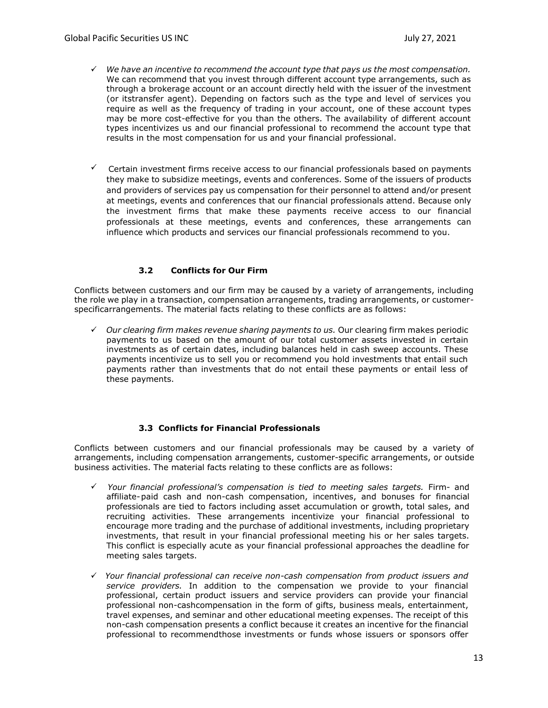- *We have an incentive to recommend the account type that pays us the most compensation.* We can recommend that you invest through different account type arrangements, such as through a brokerage account or an account directly held with the issuer of the investment (or itstransfer agent). Depending on factors such as the type and level of services you require as well as the frequency of trading in your account, one of these account types may be more cost-effective for you than the others. The availability of different account types incentivizes us and our financial professional to recommend the account type that results in the most compensation for us and your financial professional.
- $\checkmark$  Certain investment firms receive access to our financial professionals based on payments they make to subsidize meetings, events and conferences. Some of the issuers of products and providers of services pay us compensation for their personnel to attend and/or present at meetings, events and conferences that our financial professionals attend. Because only the investment firms that make these payments receive access to our financial professionals at these meetings, events and conferences, these arrangements can influence which products and services our financial professionals recommend to you.

# **3.2 Conflicts for Our Firm**

Conflicts between customers and our firm may be caused by a variety of arrangements, including the role we play in a transaction, compensation arrangements, trading arrangements, or customerspecificarrangements. The material facts relating to these conflicts are as follows:

 $\checkmark$  Our clearing firm makes revenue sharing payments to us. Our clearing firm makes periodic payments to us based on the amount of our total customer assets invested in certain investments as of certain dates, including balances held in cash sweep accounts. These payments incentivize us to sell you or recommend you hold investments that entail such payments rather than investments that do not entail these payments or entail less of these payments.

# **3.3 Conflicts for Financial Professionals**

<span id="page-12-0"></span>Conflicts between customers and our financial professionals may be caused by a variety of arrangements, including compensation arrangements, customer-specific arrangements, or outside business activities. The material facts relating to these conflicts are as follows:

- *Your financial professional's compensation is tied to meeting sales targets.* Firm- and affiliate-paid cash and non-cash compensation, incentives, and bonuses for financial professionals are tied to factors including asset accumulation or growth, total sales, and recruiting activities. These arrangements incentivize your financial professional to encourage more trading and the purchase of additional investments, including proprietary investments, that result in your financial professional meeting his or her sales targets. This conflict is especially acute as your financial professional approaches the deadline for meeting sales targets.
- *Your financial professional can receive non-cash compensation from product issuers and service providers.* In addition to the compensation we provide to your financial professional, certain product issuers and service providers can provide your financial professional non-cashcompensation in the form of gifts, business meals, entertainment, travel expenses, and seminar and other educational meeting expenses. The receipt of this non-cash compensation presents a conflict because it creates an incentive for the financial professional to recommendthose investments or funds whose issuers or sponsors offer